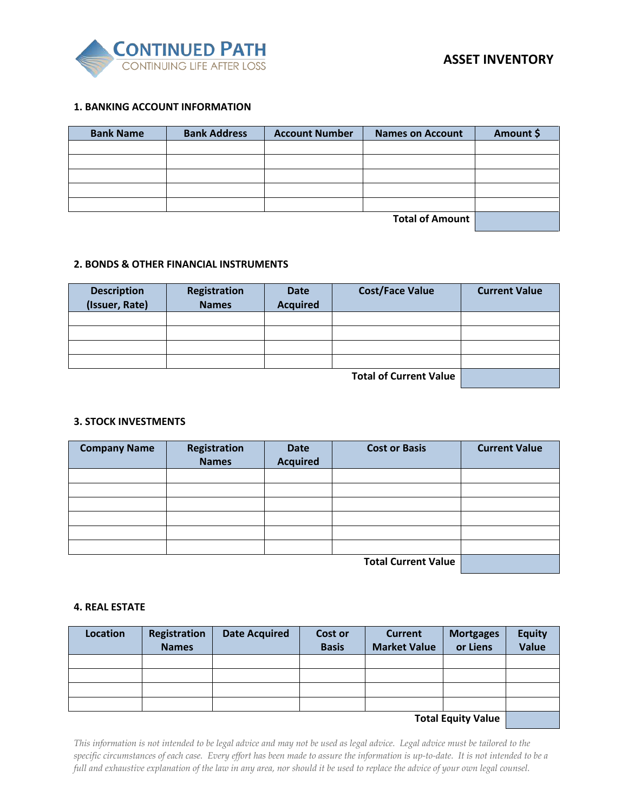

# **1. BANKING ACCOUNT INFORMATION**

| <b>Bank Name</b> | <b>Bank Address</b> | <b>Account Number</b> | <b>Names on Account</b> | Amount \$ |
|------------------|---------------------|-----------------------|-------------------------|-----------|
|                  |                     |                       |                         |           |
|                  |                     |                       |                         |           |
|                  |                     |                       |                         |           |
|                  |                     |                       |                         |           |
|                  |                     |                       |                         |           |
|                  |                     |                       | <b>Total of Amount</b>  |           |

# **2. BONDS & OTHER FINANCIAL INSTRUMENTS**

| <b>Description</b> | <b>Registration</b> | <b>Date</b>     | <b>Cost/Face Value</b>        | <b>Current Value</b> |
|--------------------|---------------------|-----------------|-------------------------------|----------------------|
| (Issuer, Rate)     | <b>Names</b>        | <b>Acquired</b> |                               |                      |
|                    |                     |                 |                               |                      |
|                    |                     |                 |                               |                      |
|                    |                     |                 |                               |                      |
|                    |                     |                 |                               |                      |
|                    |                     |                 | <b>Total of Current Value</b> |                      |

#### **3. STOCK INVESTMENTS**

| <b>Company Name</b> | Registration<br><b>Names</b> | <b>Date</b><br><b>Acquired</b> | <b>Cost or Basis</b>       | <b>Current Value</b> |
|---------------------|------------------------------|--------------------------------|----------------------------|----------------------|
|                     |                              |                                |                            |                      |
|                     |                              |                                |                            |                      |
|                     |                              |                                |                            |                      |
|                     |                              |                                |                            |                      |
|                     |                              |                                |                            |                      |
|                     |                              |                                |                            |                      |
|                     |                              |                                | <b>Total Current Value</b> |                      |

#### **4. REAL ESTATE**

| <b>Location</b> | <b>Registration</b> | <b>Date Acquired</b> | Cost or      | <b>Current</b>      | <b>Mortgages</b>          | <b>Equity</b> |
|-----------------|---------------------|----------------------|--------------|---------------------|---------------------------|---------------|
|                 | <b>Names</b>        |                      | <b>Basis</b> | <b>Market Value</b> | or Liens                  | <b>Value</b>  |
|                 |                     |                      |              |                     |                           |               |
|                 |                     |                      |              |                     |                           |               |
|                 |                     |                      |              |                     |                           |               |
|                 |                     |                      |              |                     |                           |               |
|                 |                     |                      |              |                     | <b>Total Equity Value</b> |               |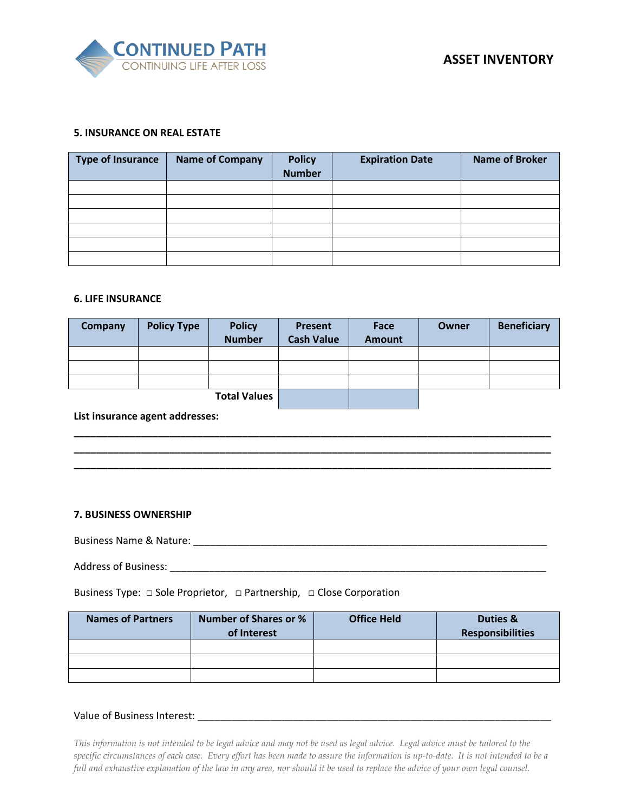

#### **5. INSURANCE ON REAL ESTATE**

| Type of Insurance | <b>Name of Company</b> | <b>Policy</b><br><b>Number</b> | <b>Expiration Date</b> | <b>Name of Broker</b> |
|-------------------|------------------------|--------------------------------|------------------------|-----------------------|
|                   |                        |                                |                        |                       |
|                   |                        |                                |                        |                       |
|                   |                        |                                |                        |                       |
|                   |                        |                                |                        |                       |
|                   |                        |                                |                        |                       |
|                   |                        |                                |                        |                       |

#### **6. LIFE INSURANCE**

| Company | <b>Policy Type</b> | <b>Policy</b><br><b>Number</b> | Present<br><b>Cash Value</b> | Face<br><b>Amount</b> | Owner | <b>Beneficiary</b> |
|---------|--------------------|--------------------------------|------------------------------|-----------------------|-------|--------------------|
|         |                    |                                |                              |                       |       |                    |
|         |                    |                                |                              |                       |       |                    |
|         |                    |                                |                              |                       |       |                    |
|         |                    | <b>Total Values</b>            |                              |                       |       |                    |

**\_\_\_\_\_\_\_\_\_\_\_\_\_\_\_\_\_\_\_\_\_\_\_\_\_\_\_\_\_\_\_\_\_\_\_\_\_\_\_\_\_\_\_\_\_\_\_\_\_\_\_\_\_\_\_\_\_\_\_\_\_\_\_\_\_\_\_\_\_\_\_\_\_\_\_\_\_\_\_\_\_\_\_\_\_ \_\_\_\_\_\_\_\_\_\_\_\_\_\_\_\_\_\_\_\_\_\_\_\_\_\_\_\_\_\_\_\_\_\_\_\_\_\_\_\_\_\_\_\_\_\_\_\_\_\_\_\_\_\_\_\_\_\_\_\_\_\_\_\_\_\_\_\_\_\_\_\_\_\_\_\_\_\_\_\_\_\_\_\_\_ \_\_\_\_\_\_\_\_\_\_\_\_\_\_\_\_\_\_\_\_\_\_\_\_\_\_\_\_\_\_\_\_\_\_\_\_\_\_\_\_\_\_\_\_\_\_\_\_\_\_\_\_\_\_\_\_\_\_\_\_\_\_\_\_\_\_\_\_\_\_\_\_\_\_\_\_\_\_\_\_\_\_\_\_\_**

**List insurance agent addresses:** 

#### **7. BUSINESS OWNERSHIP**

Business Name & Nature: \_\_\_\_\_\_\_\_\_\_\_\_\_\_\_\_\_\_\_\_\_\_\_\_\_\_\_\_\_\_\_\_\_\_\_\_\_\_\_\_\_\_\_\_\_\_\_\_\_\_\_\_\_\_\_\_\_\_\_\_\_\_\_

Address of Business: \_\_\_\_\_\_\_\_\_\_\_\_\_\_\_\_\_\_\_\_\_\_\_\_\_\_\_\_\_\_\_\_\_\_\_\_\_\_\_\_\_\_\_\_\_\_\_\_\_\_\_\_\_\_\_\_\_\_\_\_\_\_\_\_\_\_\_

Business Type: □ Sole Proprietor, **□** Partnership, **□** Close Corporation

| <b>Names of Partners</b> | <b>Number of Shares or %</b><br>of Interest | <b>Office Held</b> | Duties &<br><b>Responsibilities</b> |
|--------------------------|---------------------------------------------|--------------------|-------------------------------------|
|                          |                                             |                    |                                     |
|                          |                                             |                    |                                     |
|                          |                                             |                    |                                     |

#### Value of Business Interest: \_\_\_\_\_\_\_\_\_\_\_\_\_\_\_\_\_\_\_\_\_\_\_\_\_\_\_\_\_\_\_\_\_\_\_\_\_\_\_\_\_\_\_\_\_\_\_\_\_\_\_\_\_\_\_\_\_\_\_\_\_\_\_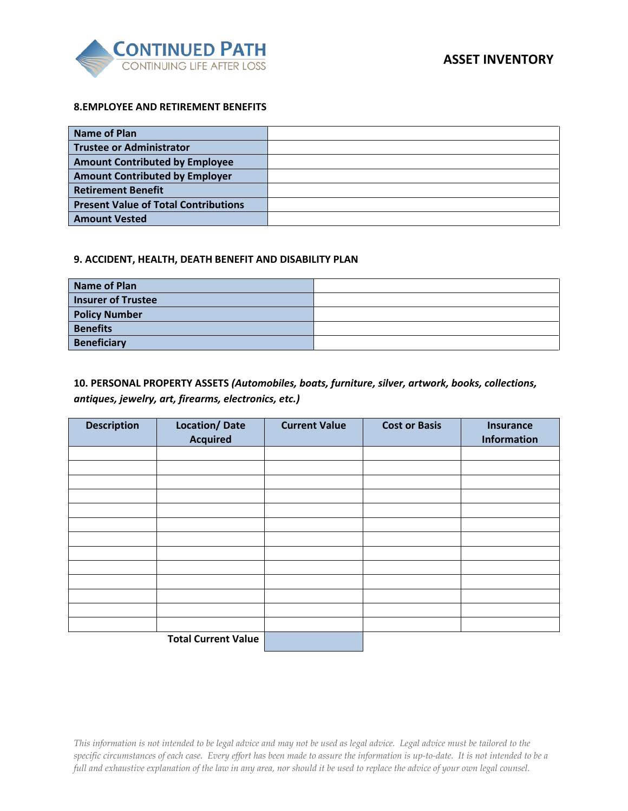

### **8.EMPLOYEE AND RETIREMENT BENEFITS**

| Name of Plan                                |  |
|---------------------------------------------|--|
| Trustee or Administrator                    |  |
| <b>Amount Contributed by Employee</b>       |  |
| <b>Amount Contributed by Employer</b>       |  |
| <b>Retirement Benefit</b>                   |  |
| <b>Present Value of Total Contributions</b> |  |
| <b>Amount Vested</b>                        |  |

#### **9. ACCIDENT, HEALTH, DEATH BENEFIT AND DISABILITY PLAN**

| <b>Name of Plan</b>       |  |
|---------------------------|--|
| <b>Insurer of Trustee</b> |  |
| <b>Policy Number</b>      |  |
| <b>Benefits</b>           |  |
| <b>Beneficiary</b>        |  |

# **10. PERSONAL PROPERTY ASSETS** *(Automobiles, boats, furniture, silver, artwork, books, collections, antiques, jewelry, art, firearms, electronics, etc.)*

| <b>Description</b> | <b>Location/Date</b><br><b>Acquired</b> | <b>Current Value</b> | <b>Cost or Basis</b> | <b>Insurance</b><br>Information |
|--------------------|-----------------------------------------|----------------------|----------------------|---------------------------------|
|                    |                                         |                      |                      |                                 |
|                    |                                         |                      |                      |                                 |
|                    |                                         |                      |                      |                                 |
|                    |                                         |                      |                      |                                 |
|                    |                                         |                      |                      |                                 |
|                    |                                         |                      |                      |                                 |
|                    |                                         |                      |                      |                                 |
|                    |                                         |                      |                      |                                 |
|                    |                                         |                      |                      |                                 |
|                    |                                         |                      |                      |                                 |
|                    |                                         |                      |                      |                                 |
|                    |                                         |                      |                      |                                 |
|                    |                                         |                      |                      |                                 |
|                    | <b>Total Current Value</b>              |                      |                      |                                 |